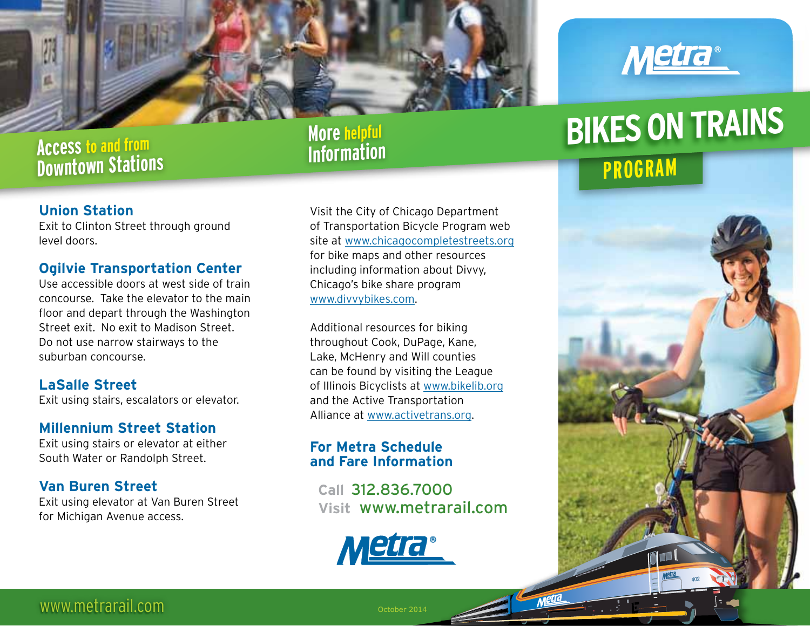

### **Access to and from Downtown Stations**

### **More helpful Information**

### **Union Station**

Exit to Clinton Street through ground level doors.

### **Ogilvie Transportation Center**

Use accessible doors at west side of train concourse. Take the elevator to the main floor and depart through the Washington Street exit. No exit to Madison Street. Do not use narrow stairways to the suburban concourse.

### **LaSalle Street**

Exit using stairs, escalators or elevator.

### **Millennium Street Station**

Exit using stairs or elevator at either South Water or Randolph Street.

### **Van Buren Street**

Exit using elevator at Van Buren Street for Michigan Avenue access.

Visit the City of Chicago Department of Transportation Bicycle Program web site at www.chicagocompletestreets.org for bike maps and other resources including information about Divvy, Chicago's bike share program www.divvybikes.com.

Additional resources for biking throughout Cook, DuPage, Kane, Lake, McHenry and Will counties can be found by visiting the League of Illinois Bicyclists at www.bikelib.org and the Active Transportation Alliance at www.activetrans.org.

### **For Metra Schedule and Fare Information**

 **Call** 312.836.7000 ®  **Visit** www.metrarail.com





# **BIKES ON TRAINS**

## **PROGRAM**



www.metrarail.com

October 2014